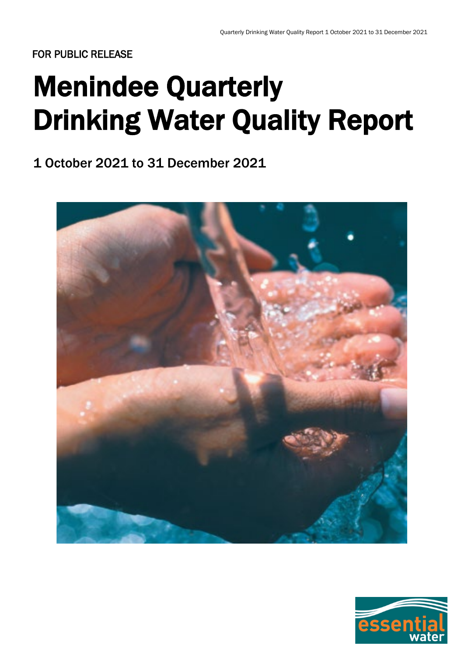# Menindee Quarterly Drinking Water Quality Report

1 October 2021 to 31 December 2021



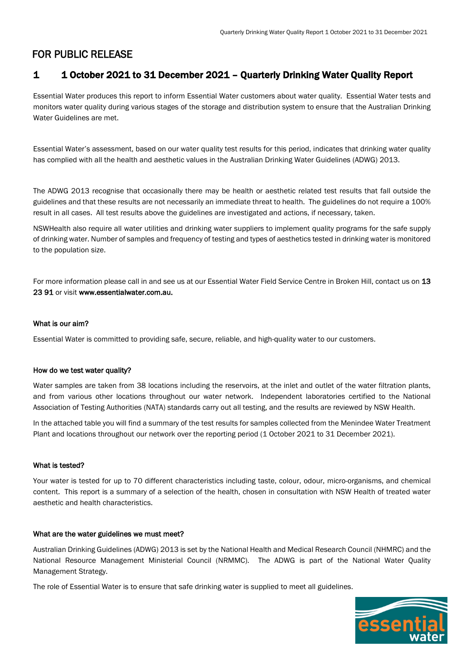## 1 1 October 2021 to 31 December 2021 – Quarterly Drinking Water Quality Report

Essential Water produces this report to inform Essential Water customers about water quality. Essential Water tests and monitors water quality during various stages of the storage and distribution system to ensure that the Australian Drinking Water Guidelines are met.

Essential Water's assessment, based on our water quality test results for this period, indicates that drinking water quality has complied with all the health and aesthetic values in the Australian Drinking Water Guidelines (ADWG) 2013.

The ADWG 2013 recognise that occasionally there may be health or aesthetic related test results that fall outside the guidelines and that these results are not necessarily an immediate threat to health. The guidelines do not require a 100% result in all cases. All test results above the guidelines are investigated and actions, if necessary, taken.

NSWHealth also require all water utilities and drinking water suppliers to implement quality programs for the safe supply of drinking water. Number of samples and frequency of testing and types of aesthetics tested in drinking water is monitored to the population size.

For more information please call in and see us at our Essential Water Field Service Centre in Broken Hill, contact us on 13 23 91 or visit www.essentialwater.com.au.

#### What is our aim?

Essential Water is committed to providing safe, secure, reliable, and high-quality water to our customers.

#### How do we test water quality?

Water samples are taken from 38 locations including the reservoirs, at the inlet and outlet of the water filtration plants, and from various other locations throughout our water network. Independent laboratories certified to the National Association of Testing Authorities (NATA) standards carry out all testing, and the results are reviewed by NSW Health.

In the attached table you will find a summary of the test results for samples collected from the Menindee Water Treatment Plant and locations throughout our network over the reporting period (1 October 2021 to 31 December 2021).

#### What is tested?

Your water is tested for up to 70 different characteristics including taste, colour, odour, micro-organisms, and chemical content. This report is a summary of a selection of the health, chosen in consultation with NSW Health of treated water aesthetic and health characteristics.

#### What are the water guidelines we must meet?

Australian Drinking Guidelines (ADWG) 2013 is set by the National Health and Medical Research Council (NHMRC) and the National Resource Management Ministerial Council (NRMMC). The ADWG is part of the National Water Quality Management Strategy.

The role of Essential Water is to ensure that safe drinking water is supplied to meet all guidelines.

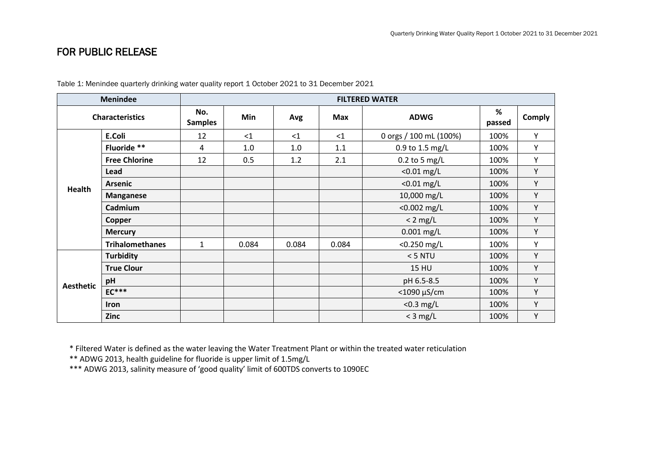| <b>Menindee</b>        |                        | <b>FILTERED WATER</b> |          |       |            |                        |             |        |
|------------------------|------------------------|-----------------------|----------|-------|------------|------------------------|-------------|--------|
| <b>Characteristics</b> |                        | No.<br><b>Samples</b> | Min      | Avg   | <b>Max</b> | <b>ADWG</b>            | %<br>passed | Comply |
| <b>Health</b>          | E.Coli                 | 12                    | $\leq$ 1 | <1    | <1         | 0 orgs / 100 mL (100%) | 100%        | Y      |
|                        | Fluoride **            | 4                     | 1.0      | 1.0   | 1.1        | 0.9 to 1.5 mg/L        | 100%        | Y      |
|                        | <b>Free Chlorine</b>   | 12                    | 0.5      | 1.2   | 2.1        | $0.2$ to 5 mg/L        | 100%        | Y      |
|                        | Lead                   |                       |          |       |            | $< 0.01$ mg/L          | 100%        | Υ      |
|                        | <b>Arsenic</b>         |                       |          |       |            | $< 0.01$ mg/L          | 100%        | Υ      |
|                        | <b>Manganese</b>       |                       |          |       |            | 10,000 mg/L            | 100%        | Υ      |
|                        | Cadmium                |                       |          |       |            | $< 0.002$ mg/L         | 100%        | Υ      |
|                        | Copper                 |                       |          |       |            | $< 2$ mg/L             | 100%        | Υ      |
|                        | <b>Mercury</b>         |                       |          |       |            | $0.001$ mg/L           | 100%        | Υ      |
|                        | <b>Trihalomethanes</b> | $\mathbf{1}$          | 0.084    | 0.084 | 0.084      | $<$ 0.250 mg/L         | 100%        | Y      |
| <b>Aesthetic</b>       | <b>Turbidity</b>       |                       |          |       |            | $<$ 5 NTU              | 100%        | Y      |
|                        | <b>True Clour</b>      |                       |          |       |            | <b>15 HU</b>           | 100%        | Y      |
|                        | pH                     |                       |          |       |            | pH 6.5-8.5             | 100%        | Y      |
|                        | $EC***$                |                       |          |       |            | <1090 µS/cm            | 100%        | Y      |
|                        | Iron                   |                       |          |       |            | $<$ 0.3 mg/L           | 100%        | Y      |
|                        | Zinc                   |                       |          |       |            | $<$ 3 mg/L             | 100%        | Y      |

Table 1: Menindee quarterly drinking water quality report 1 October 2021 to 31 December 2021

\* Filtered Water is defined as the water leaving the Water Treatment Plant or within the treated water reticulation

\*\* ADWG 2013, health guideline for fluoride is upper limit of 1.5mg/L

\*\*\* ADWG 2013, salinity measure of 'good quality' limit of 600TDS converts to 1090EC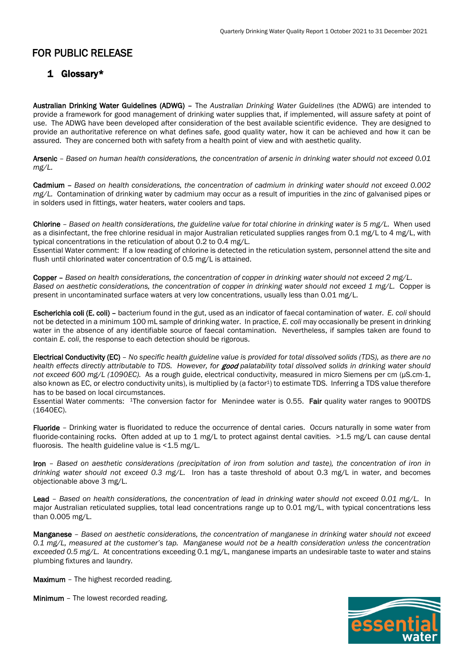### 1 Glossary\*

Australian Drinking Water Guidelines (ADWG) – The *Australian Drinking Water Guidelines* (the ADWG) are intended to provide a framework for good management of drinking water supplies that, if implemented, will assure safety at point of use. The ADWG have been developed after consideration of the best available scientific evidence. They are designed to provide an authoritative reference on what defines safe, good quality water, how it can be achieved and how it can be assured. They are concerned both with safety from a health point of view and with aesthetic quality.

Arsenic – *Based on human health considerations, the concentration of arsenic in drinking water should not exceed 0.01 mg/L.*

Cadmium – *Based on health considerations, the concentration of cadmium in drinking water should not exceed 0.002 mg/L.* Contamination of drinking water by cadmium may occur as a result of impurities in the zinc of galvanised pipes or in solders used in fittings, water heaters, water coolers and taps.

Chlorine – *Based on health considerations, the guideline value for total chlorine in drinking water is 5 mg/L.* When used as a disinfectant, the free chlorine residual in major Australian reticulated supplies ranges from 0.1 mg/L to 4 mg/L, with typical concentrations in the reticulation of about 0.2 to 0.4 mg/L.

Essential Water comment: If a low reading of chlorine is detected in the reticulation system, personnel attend the site and flush until chlorinated water concentration of 0.5 mg/L is attained.

Copper – *Based on health considerations, the concentration of copper in drinking water should not exceed 2 mg/L. Based on aesthetic considerations, the concentration of copper in drinking water should not exceed 1 mg/L.* Copper is present in uncontaminated surface waters at very low concentrations, usually less than 0.01 mg/L.

Escherichia coli (E. coli) – bacterium found in the gut, used as an indicator of faecal contamination of water. *E. coli* should not be detected in a minimum 100 mL sample of drinking water. In practice, *E. coli* may occasionally be present in drinking water in the absence of any identifiable source of faecal contamination. Nevertheless, if samples taken are found to contain *E. coli*, the response to each detection should be rigorous.

Electrical Conductivity (EC) – *No specific health guideline value is provided for total dissolved solids (TDS), as there are no health effects directly attributable to TDS. However, for* good *palatability total dissolved solids in drinking water should not exceed 600 mg/L (1090EC).* As a rough guide, electrical conductivity, measured in micro Siemens per cm (μS.cm-1, also known as EC, or electro conductivity units), is multiplied by (a factor<sup>1</sup>) to estimate TDS. Inferring a TDS value therefore has to be based on local circumstances.

Essential Water comments: <sup>1</sup>The conversion factor for Menindee water is 0.55. Fair quality water ranges to 900TDS (1640EC).

Fluoride – Drinking water is fluoridated to reduce the occurrence of dental caries. Occurs naturally in some water from fluoride-containing rocks. Often added at up to 1 mg/L to protect against dental cavities. >1.5 mg/L can cause dental fluorosis. The health guideline value is  $<$  1.5 mg/L.

Iron – *Based on aesthetic considerations (precipitation of iron from solution and taste), the concentration of iron in drinking water should not exceed 0.3 mg/L.* Iron has a taste threshold of about 0.3 mg/L in water, and becomes objectionable above 3 mg/L.

Lead – *Based on health considerations, the concentration of lead in drinking water should not exceed 0.01 mg/L.* In major Australian reticulated supplies, total lead concentrations range up to 0.01 mg/L, with typical concentrations less than 0.005 mg/L.

Manganese – *Based on aesthetic considerations, the concentration of manganese in drinking water should not exceed 0.1 mg/L, measured at the customer's tap. Manganese would not be a health consideration unless the concentration exceeded 0.5 mg/L.* At concentrations exceeding 0.1 mg/L, manganese imparts an undesirable taste to water and stains plumbing fixtures and laundry.

Maximum - The highest recorded reading.

Minimum – The lowest recorded reading.